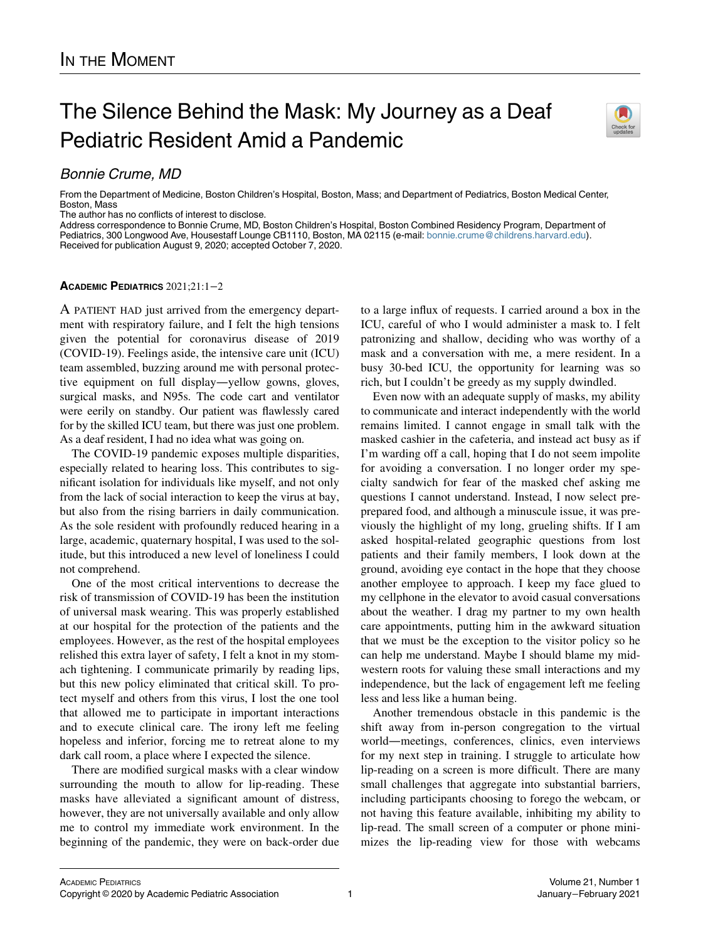# The Silence Behind the Mask: My Journey as a Deaf Pediatric Resident Amid a Pandemic



## Bonnie Crume, MD

From the Department of Medicine, Boston Children's Hospital, Boston, Mass; and Department of Pediatrics, Boston Medical Center, Boston, Mass

The author has no conflicts of interest to disclose.

Address correspondence to Bonnie Crume, MD, Boston Children's Hospital, Boston Combined Residency Program, Department of Pediatrics, 300 Longwood Ave, Housestaff Lounge CB1110, Boston, MA 02115 (e-mail: [bonnie.crume@childrens.harvard.edu\)](mailto:bonnie.crume@childrens.harvard.edu). Received for publication August 9, 2020; accepted October 7, 2020.

## ACADEMIC PEDIATRICS 2021;21:1−2

A PATIENT HAD just arrived from the emergency department with respiratory failure, and I felt the high tensions given the potential for coronavirus disease of 2019 (COVID-19). Feelings aside, the intensive care unit (ICU) team assembled, buzzing around me with personal protective equipment on full display—yellow gowns, gloves, surgical masks, and N95s. The code cart and ventilator were eerily on standby. Our patient was flawlessly cared for by the skilled ICU team, but there was just one problem. As a deaf resident, I had no idea what was going on.

The COVID-19 pandemic exposes multiple disparities, especially related to hearing loss. This contributes to significant isolation for individuals like myself, and not only from the lack of social interaction to keep the virus at bay, but also from the rising barriers in daily communication. As the sole resident with profoundly reduced hearing in a large, academic, quaternary hospital, I was used to the solitude, but this introduced a new level of loneliness I could not comprehend.

One of the most critical interventions to decrease the risk of transmission of COVID-19 has been the institution of universal mask wearing. This was properly established at our hospital for the protection of the patients and the employees. However, as the rest of the hospital employees relished this extra layer of safety, I felt a knot in my stomach tightening. I communicate primarily by reading lips, but this new policy eliminated that critical skill. To protect myself and others from this virus, I lost the one tool that allowed me to participate in important interactions and to execute clinical care. The irony left me feeling hopeless and inferior, forcing me to retreat alone to my dark call room, a place where I expected the silence.

There are modified surgical masks with a clear window surrounding the mouth to allow for lip-reading. These masks have alleviated a significant amount of distress, however, they are not universally available and only allow me to control my immediate work environment. In the beginning of the pandemic, they were on back-order due to a large influx of requests. I carried around a box in the ICU, careful of who I would administer a mask to. I felt patronizing and shallow, deciding who was worthy of a mask and a conversation with me, a mere resident. In a busy 30-bed ICU, the opportunity for learning was so rich, but I couldn't be greedy as my supply dwindled.

Even now with an adequate supply of masks, my ability to communicate and interact independently with the world remains limited. I cannot engage in small talk with the masked cashier in the cafeteria, and instead act busy as if I'm warding off a call, hoping that I do not seem impolite for avoiding a conversation. I no longer order my specialty sandwich for fear of the masked chef asking me questions I cannot understand. Instead, I now select preprepared food, and although a minuscule issue, it was previously the highlight of my long, grueling shifts. If I am asked hospital-related geographic questions from lost patients and their family members, I look down at the ground, avoiding eye contact in the hope that they choose another employee to approach. I keep my face glued to my cellphone in the elevator to avoid casual conversations about the weather. I drag my partner to my own health care appointments, putting him in the awkward situation that we must be the exception to the visitor policy so he can help me understand. Maybe I should blame my midwestern roots for valuing these small interactions and my independence, but the lack of engagement left me feeling less and less like a human being.

Another tremendous obstacle in this pandemic is the shift away from in-person congregation to the virtual world—meetings, conferences, clinics, even interviews for my next step in training. I struggle to articulate how lip-reading on a screen is more difficult. There are many small challenges that aggregate into substantial barriers, including participants choosing to forego the webcam, or not having this feature available, inhibiting my ability to lip-read. The small screen of a computer or phone minimizes the lip-reading view for those with webcams